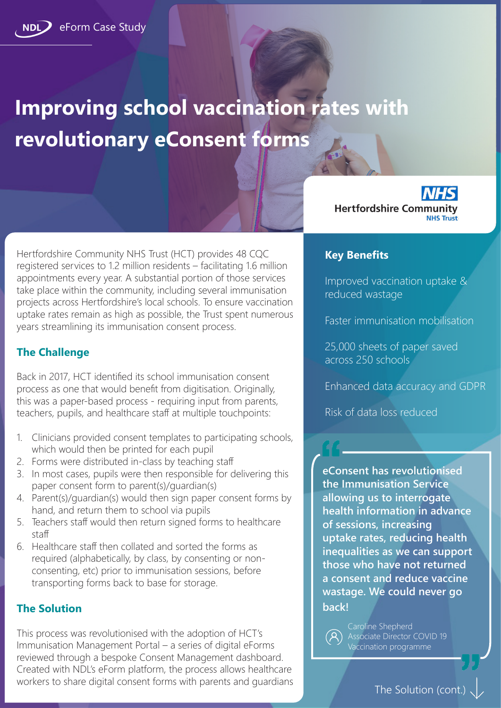# **Improving school vaccination rates with revolutionary eConsent forms**



Hertfordshire Community NHS Trust (HCT) provides 48 CQC registered services to 1.2 million residents – facilitating 1.6 million appointments every year. A substantial portion of those services take place within the community, including several immunisation projects across Hertfordshire's local schools. To ensure vaccination uptake rates remain as high as possible, the Trust spent numerous years streamlining its immunisation consent process.

# **The Challenge**

Back in 2017, HCT identified its school immunisation consent process as one that would benefit from digitisation. Originally, this was a paper-based process - requiring input from parents, teachers, pupils, and healthcare staff at multiple touchpoints:

- 1. Clinicians provided consent templates to participating schools, which would then be printed for each pupil
- 2. Forms were distributed in-class by teaching staff
- 3. In most cases, pupils were then responsible for delivering this paper consent form to parent(s)/guardian(s)
- 4. Parent(s)/guardian(s) would then sign paper consent forms by hand, and return them to school via pupils
- 5. Teachers staff would then return signed forms to healthcare staff
- 6. Healthcare staff then collated and sorted the forms as required (alphabetically, by class, by consenting or nonconsenting, etc) prior to immunisation sessions, before transporting forms back to base for storage.

## **The Solution**

This process was revolutionised with the adoption of HCT's Immunisation Management Portal – a series of digital eForms reviewed through a bespoke Consent Management dashboard. Created with NDL's eForm platform, the process allows healthcare workers to share digital consent forms with parents and guardians

## **Key Benefits**

Improved vaccination uptake & reduced wastage

Faster immunisation mobilisation

25,000 sheets of paper saved across 250 schools

Enhanced data accuracy and GDPR

Risk of data loss reduced

**eConsent has revolutionised the Immunisation Service allowing us to interrogate health information in advance of sessions, increasing uptake rates, reducing health inequalities as we can support those who have not returned a consent and reduce vaccine wastage. We could never go back!**

> Caroline Shepherd Associate Director COVID 19 Vaccination programme